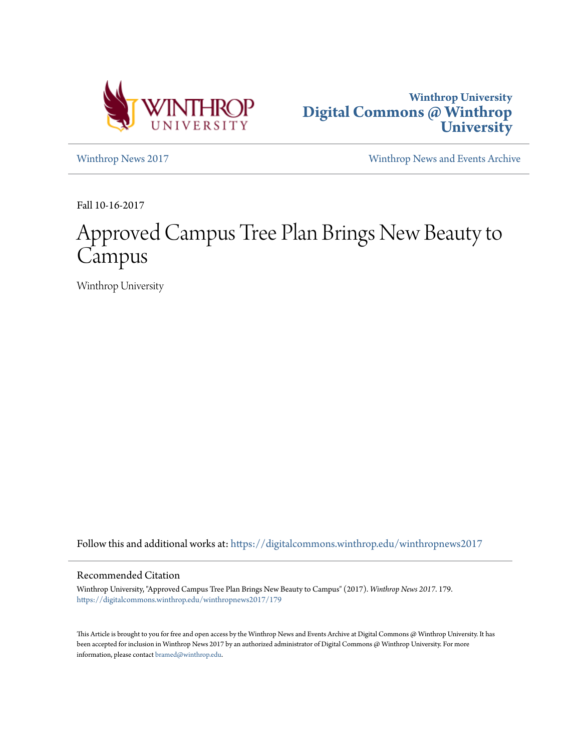



[Winthrop News 2017](https://digitalcommons.winthrop.edu/winthropnews2017?utm_source=digitalcommons.winthrop.edu%2Fwinthropnews2017%2F179&utm_medium=PDF&utm_campaign=PDFCoverPages) [Winthrop News and Events Archive](https://digitalcommons.winthrop.edu/winthropnewsarchives?utm_source=digitalcommons.winthrop.edu%2Fwinthropnews2017%2F179&utm_medium=PDF&utm_campaign=PDFCoverPages)

Fall 10-16-2017

# Approved Campus Tree Plan Brings New Beauty to Campus

Winthrop University

Follow this and additional works at: [https://digitalcommons.winthrop.edu/winthropnews2017](https://digitalcommons.winthrop.edu/winthropnews2017?utm_source=digitalcommons.winthrop.edu%2Fwinthropnews2017%2F179&utm_medium=PDF&utm_campaign=PDFCoverPages)

## Recommended Citation

Winthrop University, "Approved Campus Tree Plan Brings New Beauty to Campus" (2017). *Winthrop News 2017*. 179. [https://digitalcommons.winthrop.edu/winthropnews2017/179](https://digitalcommons.winthrop.edu/winthropnews2017/179?utm_source=digitalcommons.winthrop.edu%2Fwinthropnews2017%2F179&utm_medium=PDF&utm_campaign=PDFCoverPages)

This Article is brought to you for free and open access by the Winthrop News and Events Archive at Digital Commons @ Winthrop University. It has been accepted for inclusion in Winthrop News 2017 by an authorized administrator of Digital Commons @ Winthrop University. For more information, please contact [bramed@winthrop.edu](mailto:bramed@winthrop.edu).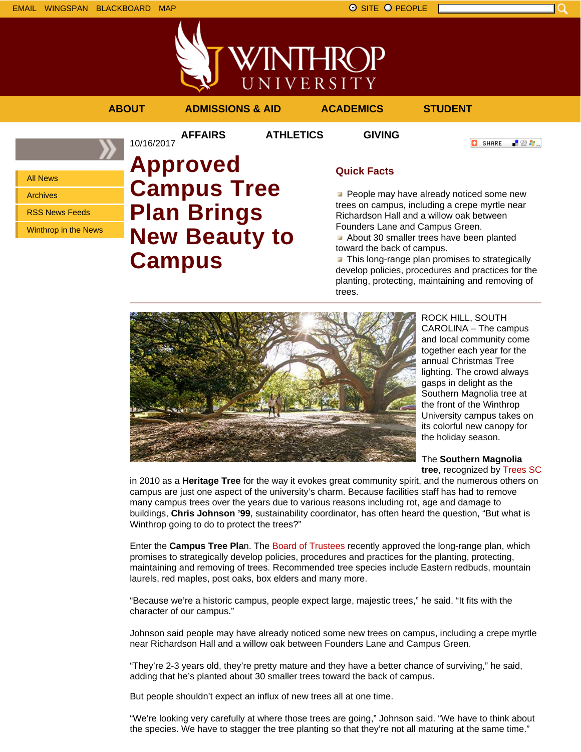



**AFFAIRS ATHLETICS GIVING**

```
ABOUT ADMISSIONS & AID ACADEMICS STUDENT
```
All News Archives

RSS News Feeds

Winthrop in the News

## 10/16/2017 **Approved Campus Tree Plan Brings New Beauty to Campus**

## **Quick Facts**

**People may have already noticed some new** trees on campus, including a crepe myrtle near Richardson Hall and a willow oak between Founders Lane and Campus Green.

About 30 smaller trees have been planted toward the back of campus.

**This long-range plan promises to strategically** develop policies, procedures and practices for the planting, protecting, maintaining and removing of trees.



ROCK HILL, SOUTH CAROLINA – The campus and local community come together each year for the annual Christmas Tree lighting. The crowd always gasps in delight as the Southern Magnolia tree at the front of the Winthrop University campus takes on its colorful new canopy for the holiday season.

**O** SHARE

上脸身。

The **Southern Magnolia tree**, recognized by Trees SC

in 2010 as a **Heritage Tree** for the way it evokes great community spirit, and the numerous others on campus are just one aspect of the university's charm. Because facilities staff has had to remove many campus trees over the years due to various reasons including rot, age and damage to buildings, **Chris Johnson '99**, sustainability coordinator, has often heard the question, "But what is Winthrop going to do to protect the trees?"

Enter the **Campus Tree Pla**n. The Board of Trustees recently approved the long-range plan, which promises to strategically develop policies, procedures and practices for the planting, protecting, maintaining and removing of trees. Recommended tree species include Eastern redbuds, mountain laurels, red maples, post oaks, box elders and many more.

"Because we're a historic campus, people expect large, majestic trees," he said. "It fits with the character of our campus."

Johnson said people may have already noticed some new trees on campus, including a crepe myrtle near Richardson Hall and a willow oak between Founders Lane and Campus Green.

"They're 2-3 years old, they're pretty mature and they have a better chance of surviving," he said, adding that he's planted about 30 smaller trees toward the back of campus.

But people shouldn't expect an influx of new trees all at one time.

"We're looking very carefully at where those trees are going," Johnson said. "We have to think about the species. We have to stagger the tree planting so that they're not all maturing at the same time."